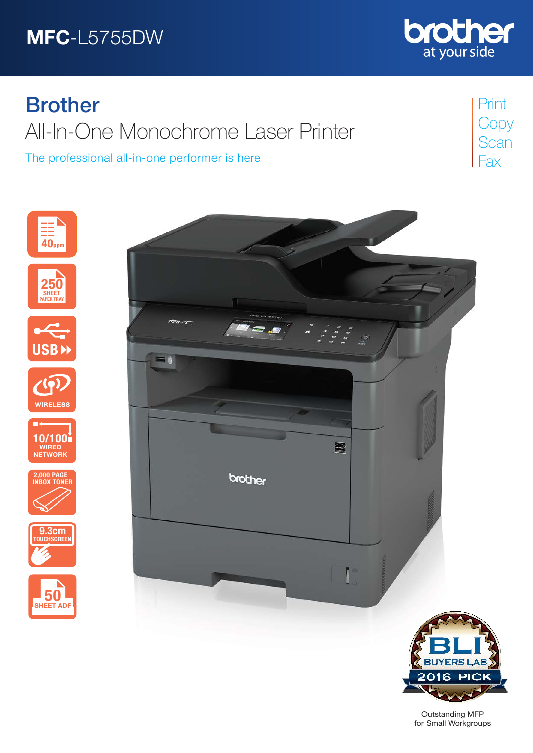# MFC-L5755DW



The professional all-in-one performer is here



Print **Copy Scan** Fax













Outstanding MFP for Small Workgroups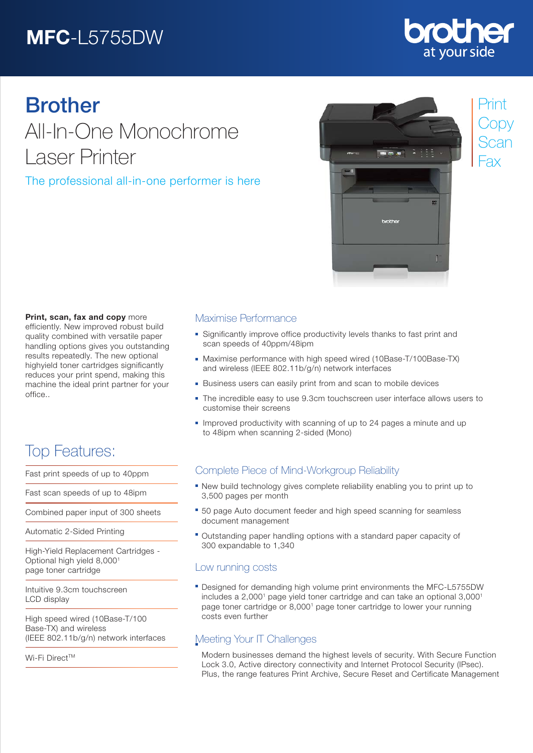# MFC-L5755DW

## **Drother** at your side

# Brother

All-In-One Monochrome Laser Printer

### The professional all-in-one performer is here



## Print **Copy** Scan Fax

#### Print, scan, fax and copy more

efficiently. New improved robust build quality combined with versatile paper handling options gives you outstanding results repeatedly. The new optional highyield toner cartridges significantly reduces your print spend, making this machine the ideal print partner for your office..

## Top Features:

Fast print speeds of up to 40ppm

Fast scan speeds of up to 48ipm

Combined paper input of 300 sheets

Automatic 2-Sided Printing

High-Yield Replacement Cartridges - Optional high yield 8,0001 page toner cartridge

Intuitive 9.3cm touchscreen LCD display

High speed wired (10Base-T/100 Base-TX) and wireless (IEEE 802.11b/g/n) network interfaces

Wi-Fi Direct™

#### Maximise Performance

- Significantly improve office productivity levels thanks to fast print and scan speeds of 40ppm/48ipm
- Maximise performance with high speed wired (10Base-T/100Base-TX) and wireless (IEEE 802.11b/g/n) network interfaces
- **Business users can easily print from and scan to mobile devices**
- The incredible easy to use 9.3cm touchscreen user interface allows users to customise their screens
- **Improved productivity with scanning of up to 24 pages a minute and up** to 48ipm when scanning 2-sided (Mono)

### Complete Piece of Mind-Workgroup Reliability

- New build technology gives complete reliability enabling you to print up to 3,500 pages per month
- **50 page Auto document feeder and high speed scanning for seamless** document management
- Outstanding paper handling options with a standard paper capacity of 300 expandable to 1,340

#### Low running costs

Designed for demanding high volume print environments the MFC-L5755DW includes a  $2,000<sup>1</sup>$  page yield toner cartridge and can take an optional  $3,000<sup>1</sup>$ page toner cartridge or 8,0001 page toner cartridge to lower your running costs even further

### Meeting Your IT Challenges

Modern businesses demand the highest levels of security. With Secure Function Lock 3.0, Active directory connectivity and Internet Protocol Security (IPsec). Plus, the range features Print Archive, Secure Reset and Certificate Management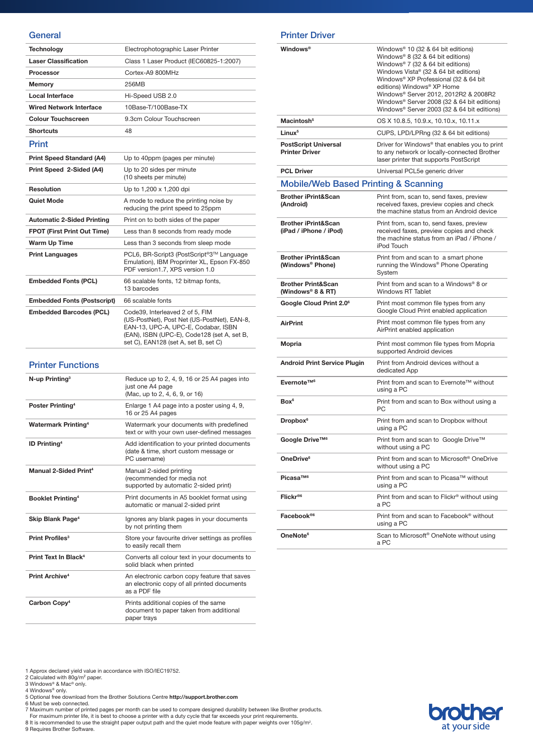#### **General**

| <b>Technology</b>                  | Electrophotographic Laser Printer                                                                                                                                                                            |
|------------------------------------|--------------------------------------------------------------------------------------------------------------------------------------------------------------------------------------------------------------|
| <b>Laser Classification</b>        | Class 1 Laser Product (IEC60825-1:2007)                                                                                                                                                                      |
| <b>Processor</b>                   | Cortex-A9 800MHz                                                                                                                                                                                             |
| <b>Memory</b>                      | 256MB                                                                                                                                                                                                        |
| <b>Local Interface</b>             | Hi-Speed USB 2.0                                                                                                                                                                                             |
| <b>Wired Network Interface</b>     | 10Base-T/100Base-TX                                                                                                                                                                                          |
| <b>Colour Touchscreen</b>          | 9.3cm Colour Touchscreen                                                                                                                                                                                     |
| <b>Shortcuts</b>                   | 48                                                                                                                                                                                                           |
| Print                              |                                                                                                                                                                                                              |
| <b>Print Speed Standard (A4)</b>   | Up to 40ppm (pages per minute)                                                                                                                                                                               |
| Print Speed 2-Sided (A4)           | Up to 20 sides per minute<br>(10 sheets per minute)                                                                                                                                                          |
| Resolution                         | Up to 1,200 x 1,200 dpi                                                                                                                                                                                      |
| <b>Quiet Mode</b>                  | A mode to reduce the printing noise by<br>reducing the print speed to 25ppm                                                                                                                                  |
| <b>Automatic 2-Sided Printing</b>  | Print on to both sides of the paper                                                                                                                                                                          |
| <b>FPOT (First Print Out Time)</b> | Less than 8 seconds from ready mode                                                                                                                                                                          |
| <b>Warm Up Time</b>                | Less than 3 seconds from sleep mode                                                                                                                                                                          |
| <b>Print Languages</b>             | PCL6, BR-Script3 (PostScript®3™ Language<br>Emulation), IBM Proprinter XL, Epson FX-850<br>PDF version1.7, XPS version 1.0                                                                                   |
| <b>Embedded Fonts (PCL)</b>        | 66 scalable fonts, 12 bitmap fonts,<br>13 barcodes                                                                                                                                                           |
| <b>Embedded Fonts (Postscript)</b> | 66 scalable fonts                                                                                                                                                                                            |
| <b>Embedded Barcodes (PCL)</b>     | Code39, Interleaved 2 of 5, FIM<br>(US-PostNet), Post Net (US-PostNet), EAN-8,<br>EAN-13, UPC-A, UPC-E, Codabar, ISBN<br>(EAN), ISBN (UPC-E), Code128 (set A, set B,<br>set C), EAN128 (set A, set B, set C) |

#### Printer Functions

| $N$ -up Printing <sup>3</sup>     | Reduce up to 2, 4, 9, 16 or 25 A4 pages into<br>just one A4 page<br>(Mac, up to 2, 4, 6, 9, or 16)           |
|-----------------------------------|--------------------------------------------------------------------------------------------------------------|
| Poster Printing <sup>4</sup>      | Enlarge 1 A4 page into a poster using 4, 9,<br>16 or 25 A4 pages                                             |
| <b>Watermark Printing4</b>        | Watermark your documents with predefined<br>text or with your own user-defined messages                      |
| <b>ID Printing4</b>               | Add identification to your printed documents<br>(date & time, short custom message or<br>PC username)        |
| Manual 2-Sided Print <sup>4</sup> | Manual 2-sided printing<br>(recommended for media not<br>supported by automatic 2-sided print)               |
| <b>Booklet Printing4</b>          | Print documents in A5 booklet format using<br>automatic or manual 2-sided print                              |
| Skip Blank Page <sup>4</sup>      | Ignores any blank pages in your documents<br>by not printing them                                            |
| Print Profiles <sup>3</sup>       | Store your favourite driver settings as profiles<br>to easily recall them                                    |
| Print Text In Black <sup>4</sup>  | Converts all colour text in your documents to<br>solid black when printed                                    |
| Print Archive <sup>4</sup>        | An electronic carbon copy feature that saves<br>an electronic copy of all printed documents<br>as a PDF file |
| Carbon Copy <sup>4</sup>          | Prints additional copies of the same<br>document to paper taken from additional<br>paper trays               |

#### Printer Driver

| <b>Windows®</b>                                                | Windows <sup>®</sup> 10 (32 & 64 bit editions)<br>Windows® 8 (32 & 64 bit editions)<br>Windows <sup>®</sup> 7 (32 & 64 bit editions)<br>Windows Vista® (32 & 64 bit editions)<br>Windows® XP Professional (32 & 64 bit<br>editions) Windows® XP Home<br>Windows® Server 2012, 2012R2 & 2008R2<br>Windows® Server 2008 (32 & 64 bit editions)<br>Windows® Server 2003 (32 & 64 bit editions) |
|----------------------------------------------------------------|---------------------------------------------------------------------------------------------------------------------------------------------------------------------------------------------------------------------------------------------------------------------------------------------------------------------------------------------------------------------------------------------|
| Macintosh <sup>5</sup>                                         | OS X 10.8.5, 10.9.x, 10.10.x, 10.11.x                                                                                                                                                                                                                                                                                                                                                       |
| Linux <sup>5</sup>                                             | CUPS, LPD/LPRng (32 & 64 bit editions)                                                                                                                                                                                                                                                                                                                                                      |
| <b>PostScript Universal</b><br><b>Printer Driver</b>           | Driver for Windows <sup>®</sup> that enables you to print<br>to any network or locally-connected Brother<br>laser printer that supports PostScript                                                                                                                                                                                                                                          |
| <b>PCL Driver</b>                                              | Universal PCL5e generic driver                                                                                                                                                                                                                                                                                                                                                              |
| <b>Mobile/Web Based Printing &amp; Scanning</b>                |                                                                                                                                                                                                                                                                                                                                                                                             |
| <b>Brother iPrint&amp;Scan</b><br>(Android)                    | Print from, scan to, send faxes, preview<br>received faxes, preview copies and check<br>the machine status from an Android device                                                                                                                                                                                                                                                           |
| <b>Brother iPrint&amp;Scan</b><br>(iPad / iPhone / iPod)       | Print from, scan to, send faxes, preview<br>received faxes, preview copies and check<br>the machine status from an iPad / iPhone /<br>iPod Touch                                                                                                                                                                                                                                            |
| <b>Brother iPrint&amp;Scan</b><br>(Windows <sup>®</sup> Phone) | Print from and scan to a smart phone<br>running the Windows® Phone Operating<br>System                                                                                                                                                                                                                                                                                                      |
| <b>Brother Print&amp;Scan</b><br>(Windows® 8 & RT)             | Print from and scan to a Windows® 8 or<br><b>Windows RT Tablet</b>                                                                                                                                                                                                                                                                                                                          |
| Google Cloud Print 2.0 <sup>6</sup>                            | Print most common file types from any<br>Google Cloud Print enabled application                                                                                                                                                                                                                                                                                                             |
| <b>AirPrint</b>                                                | Print most common file types from any<br>AirPrint enabled application                                                                                                                                                                                                                                                                                                                       |
| Mopria                                                         | Print most common file types from Mopria<br>supported Android devices                                                                                                                                                                                                                                                                                                                       |
| <b>Android Print Service Plugin</b>                            | Print from Android devices without a<br>dedicated App                                                                                                                                                                                                                                                                                                                                       |
| Evernote™ <sup>6</sup>                                         | Print from and scan to Evernote™ without<br>using a PC                                                                                                                                                                                                                                                                                                                                      |
| Box <sup>6</sup>                                               | Print from and scan to Box without using a<br>РC                                                                                                                                                                                                                                                                                                                                            |
| Dropbox <sup>6</sup>                                           | Print from and scan to Dropbox without<br>using a PC                                                                                                                                                                                                                                                                                                                                        |
| Google Drive™ <sup>6</sup>                                     | Print from and scan to Google Drive™<br>without using a PC                                                                                                                                                                                                                                                                                                                                  |
| OneDrive <sup>6</sup>                                          | Print from and scan to Microsoft <sup>®</sup> OneDrive<br>without using a PC                                                                                                                                                                                                                                                                                                                |
| Picasa™ <sup>6</sup>                                           | Print from and scan to Picasa™ without<br>using a PC                                                                                                                                                                                                                                                                                                                                        |
| Flickr®6                                                       | Print from and scan to Flickr <sup>®</sup> without using<br>a PC                                                                                                                                                                                                                                                                                                                            |
| Facebook®6                                                     | Print from and scan to Facebook <sup>®</sup> without<br>using a PC                                                                                                                                                                                                                                                                                                                          |
| OneNote <sup>6</sup>                                           | Scan to Microsoft <sup>®</sup> OneNote without using<br>a PC                                                                                                                                                                                                                                                                                                                                |

1 Approx declared yield value in accordance with ISO/IEC19752.<br>2 Calculated with 80g/m° paper.<br>3 Windows® & Mac® only.<br>5 Optional free download from the Brother Solutions Centre **http://support.brother.com**<br>5 Optional fre

7 Maximum number of printed pages per month can be used to compare designed durability between like Brother products.<br>For maximum printer life, it is best to choose a printer with a duty cycle that far exceeds your print r

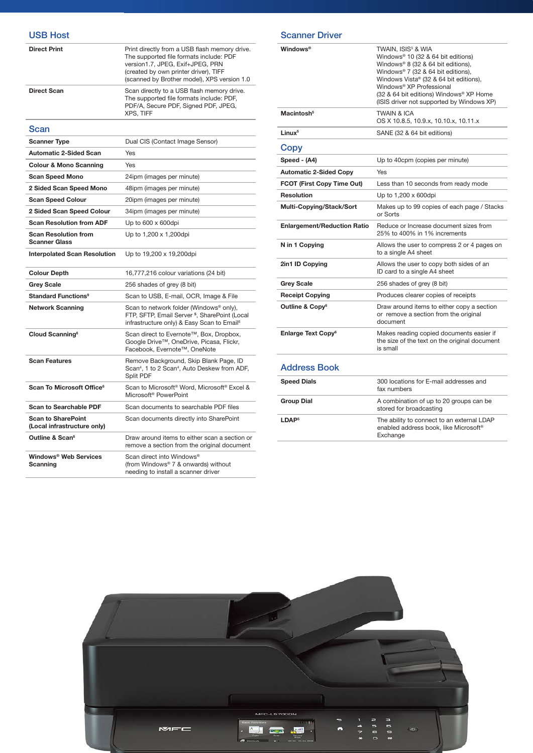| <b>USB Host</b>                                          |                                                                                                                                                                                                                      |
|----------------------------------------------------------|----------------------------------------------------------------------------------------------------------------------------------------------------------------------------------------------------------------------|
| <b>Direct Print</b>                                      | Print directly from a USB flash memory drive.<br>The supported file formats include: PDF<br>version1.7, JPEG, Exif+JPEG, PRN<br>(created by own printer driver), TIFF<br>(scanned by Brother model), XPS version 1.0 |
| <b>Direct Scan</b>                                       | Scan directly to a USB flash memory drive.<br>The supported file formats include: PDF,<br>PDF/A, Secure PDF, Signed PDF, JPEG,<br><b>XPS, TIFF</b>                                                                   |
| Scan                                                     |                                                                                                                                                                                                                      |
| <b>Scanner Type</b>                                      | Dual CIS (Contact Image Sensor)                                                                                                                                                                                      |
| <b>Automatic 2-Sided Scan</b>                            | Yes                                                                                                                                                                                                                  |
| <b>Colour &amp; Mono Scanning</b>                        | Yes                                                                                                                                                                                                                  |
| <b>Scan Speed Mono</b>                                   | 24ipm (images per minute)                                                                                                                                                                                            |
| 2 Sided Scan Speed Mono                                  | 48ipm (images per minute)                                                                                                                                                                                            |
| <b>Scan Speed Colour</b>                                 | 20ipm (images per minute)                                                                                                                                                                                            |
| 2 Sided Scan Speed Colour                                | 34ipm (images per minute)                                                                                                                                                                                            |
| <b>Scan Resolution from ADF</b>                          | Up to 600 x 600dpi                                                                                                                                                                                                   |
| <b>Scan Resolution from</b><br><b>Scanner Glass</b>      | Up to 1,200 x 1,200dpi                                                                                                                                                                                               |
| <b>Interpolated Scan Resolution</b>                      | Up to 19,200 x 19,200dpi                                                                                                                                                                                             |
| <b>Colour Depth</b>                                      | 16,777,216 colour variations (24 bit)                                                                                                                                                                                |
| <b>Grey Scale</b>                                        | 256 shades of grey (8 bit)                                                                                                                                                                                           |
| <b>Standard Functions<sup>9</sup></b>                    | Scan to USB, E-mail, OCR, Image & File                                                                                                                                                                               |
| <b>Network Scanning</b>                                  | Scan to network folder (Windows® only),<br>FTP, SFTP, Email Server <sup>5</sup> , SharePoint (Local<br>infrastructure only) & Easy Scan to Email <sup>6</sup>                                                        |
| Cloud Scanning <sup>6</sup>                              | Scan direct to Evernote™, Box, Dropbox,<br>Google Drive™, OneDrive, Picasa, Flickr,<br>Facebook, Evernote™, OneNote                                                                                                  |
| <b>Scan Features</b>                                     | Remove Background, Skip Blank Page, ID<br>Scan <sup>4</sup> , 1 to 2 Scan <sup>4</sup> , Auto Deskew from ADF,<br>Split PDF                                                                                          |
| Scan To Microsoft Office <sup>6</sup>                    | Scan to Microsoft <sup>®</sup> Word, Microsoft <sup>®</sup> Excel &<br>Microsoft <sup>®</sup> PowerPoint                                                                                                             |
| <b>Scan to Searchable PDF</b>                            | Scan documents to searchable PDF files                                                                                                                                                                               |
| <b>Scan to SharePoint</b><br>(Local infrastructure only) | Scan documents directly into SharePoint                                                                                                                                                                              |
| Outline & Scan <sup>6</sup>                              | Draw around items to either scan a section or<br>remove a section from the original document                                                                                                                         |
| Windows <sup>®</sup> Web Services                        | Scan direct into Windows®                                                                                                                                                                                            |

(from Windows® 7 & onwards) without needing to install a scanner driver

Scanning

| Windows®                             | TWAIN. ISIS <sup>5</sup> & WIA<br>Windows® 10 (32 & 64 bit editions)<br>Windows® 8 (32 & 64 bit editions),<br>Windows® 7 (32 & 64 bit editions),<br>Windows Vista® (32 & 64 bit editions),<br>Windows <sup>®</sup> XP Professional<br>(32 & 64 bit editions) Windows® XP Home<br>(ISIS driver not supported by Windows XP) |
|--------------------------------------|----------------------------------------------------------------------------------------------------------------------------------------------------------------------------------------------------------------------------------------------------------------------------------------------------------------------------|
| Macintosh <sup>5</sup>               | <b>TWAIN &amp; ICA</b><br>OS X 10.8.5, 10.9.x, 10.10.x, 10.11.x                                                                                                                                                                                                                                                            |
| Linux <sup>5</sup>                   | SANE (32 & 64 bit editions)                                                                                                                                                                                                                                                                                                |
| Copy                                 |                                                                                                                                                                                                                                                                                                                            |
| Speed - (A4)                         | Up to 40cpm (copies per minute)                                                                                                                                                                                                                                                                                            |
| <b>Automatic 2-Sided Copy</b>        | Yes                                                                                                                                                                                                                                                                                                                        |
| FCOT (First Copy Time Out)           | Less than 10 seconds from ready mode                                                                                                                                                                                                                                                                                       |
| Resolution                           | Up to 1,200 x 600dpi                                                                                                                                                                                                                                                                                                       |
| Multi-Copying/Stack/Sort             | Makes up to 99 copies of each page / Stacks<br>or Sorts                                                                                                                                                                                                                                                                    |
| <b>Enlargement/Reduction Ratio</b>   | Reduce or Increase document sizes from<br>25% to 400% in 1% increments                                                                                                                                                                                                                                                     |
| N in 1 Copying                       | Allows the user to compress 2 or 4 pages on<br>to a single A4 sheet                                                                                                                                                                                                                                                        |
| 2in1 ID Copying                      | Allows the user to copy both sides of an<br>ID card to a single A4 sheet                                                                                                                                                                                                                                                   |
| <b>Grey Scale</b>                    | 256 shades of grey (8 bit)                                                                                                                                                                                                                                                                                                 |
| <b>Receipt Copying</b>               | Produces clearer copies of receipts                                                                                                                                                                                                                                                                                        |
| Outline & Copy <sup>6</sup>          | Draw around items to either copy a section<br>or remove a section from the original<br>document                                                                                                                                                                                                                            |
| <b>Enlarge Text Copy<sup>6</sup></b> | Makes reading copied documents easier if<br>the size of the text on the original document<br>is small                                                                                                                                                                                                                      |
| <b>Address Book</b>                  |                                                                                                                                                                                                                                                                                                                            |
| <b>Speed Dials</b>                   | 300 locations for E-mail addresses and<br>fax numbers                                                                                                                                                                                                                                                                      |
| Group Dial                           | A combination of up to 20 groups can be<br>stored for broadcasting                                                                                                                                                                                                                                                         |

LDAP<sup>5</sup> The ability to connect to an external LDAP

Exchange

enabled address book, like Microsoft®

Scanner Driver

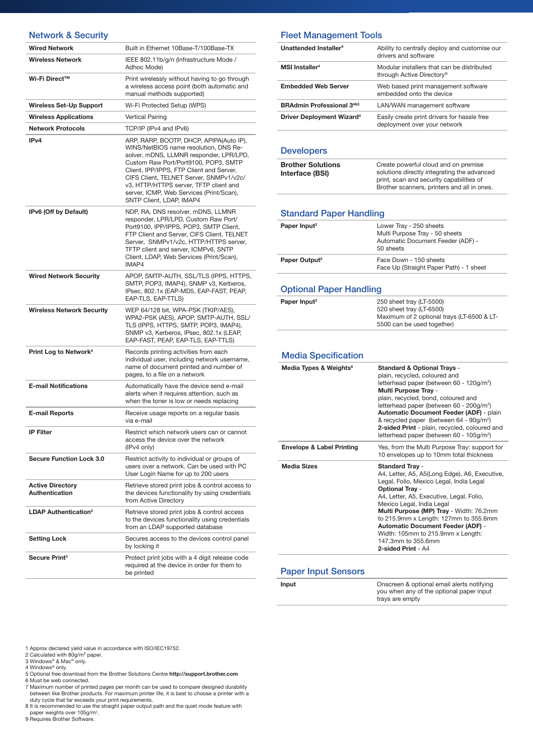| <b>Network &amp; Security</b>             |                                                                                                                                                                                                                                                                                                                                                                              |
|-------------------------------------------|------------------------------------------------------------------------------------------------------------------------------------------------------------------------------------------------------------------------------------------------------------------------------------------------------------------------------------------------------------------------------|
| <b>Wired Network</b>                      | Built in Ethernet 10Base-T/100Base-TX                                                                                                                                                                                                                                                                                                                                        |
| <b>Wireless Network</b>                   | IEEE 802.11b/g/n (Infrastructure Mode /<br>Adhoc Mode)                                                                                                                                                                                                                                                                                                                       |
| Wi-Fi Direct™                             | Print wirelessly without having to go through<br>a wireless access point (both automatic and<br>manual methods supported)                                                                                                                                                                                                                                                    |
| <b>Wireless Set-Up Support</b>            | Wi-Fi Protected Setup (WPS)                                                                                                                                                                                                                                                                                                                                                  |
| <b>Wireless Applications</b>              | Vertical Pairing                                                                                                                                                                                                                                                                                                                                                             |
| <b>Network Protocols</b>                  | TCP/IP (IPv4 and IPv6)                                                                                                                                                                                                                                                                                                                                                       |
| IP <sub>v4</sub>                          | ARP, RARP, BOOTP, DHCP, APIPA(Auto IP),<br>WINS/NetBIOS name resolution, DNS Re-<br>solver, mDNS, LLMNR responder, LPR/LPD,<br>Custom Raw Port/Port9100, POP3, SMTP<br>Client, IPP/IPPS, FTP Client and Server,<br>CIFS Client, TELNET Server, SNMPv1/v2c/<br>v3, HTTP/HTTPS server, TFTP client and<br>server, ICMP, Web Services (Print/Scan),<br>SNTP Client, LDAP, IMAP4 |
| IPv6 (Off by Default)                     | NDP, RA, DNS resolver, mDNS, LLMNR<br>responder, LPR/LPD, Custom Raw Port/<br>Port9100, IPP/IPPS, POP3, SMTP Client,<br>FTP Client and Server, CIFS Client, TELNET<br>Server, SNMPv1/v2c, HTTP/HTTPS server,<br>TFTP client and server, ICMPv6, SNTP<br>Client, LDAP, Web Services (Print/Scan),<br>IMAP4                                                                    |
| <b>Wired Network Security</b>             | APOP, SMTP-AUTH, SSL/TLS (IPPS, HTTPS,<br>SMTP, POP3, IMAP4), SNMP v3, Kerberos,<br>IPsec, 802.1x (EAP-MD5, EAP-FAST, PEAP,<br>EAP-TLS, EAP-TTLS)                                                                                                                                                                                                                            |
| <b>Wireless Network Security</b>          | WEP 64/128 bit, WPA-PSK (TKIP/AES),<br>WPA2-PSK (AES), APOP, SMTP-AUTH, SSL/<br>TLS (IPPS, HTTPS, SMTP, POP3, IMAP4),<br>SNMP v3, Kerberos, IPsec, 802.1x (LEAP,<br>EAP-FAST, PEAP, EAP-TLS, EAP-TTLS)                                                                                                                                                                       |
| Print Log to Network <sup>4</sup>         | Records printing activities from each<br>individual user, including network username,<br>name of document printed and number of<br>pages, to a file on a network                                                                                                                                                                                                             |
| <b>E-mail Notifications</b>               | Automatically have the device send e-mail<br>alerts when it requires attention, such as<br>when the toner is low or needs replacing                                                                                                                                                                                                                                          |
| <b>E-mail Reports</b>                     | Receive usage reports on a regular basis<br>via e-mail                                                                                                                                                                                                                                                                                                                       |
| IP Filter                                 | Restrict which network users can or cannot<br>access the device over the network<br>(IPv4 only)                                                                                                                                                                                                                                                                              |
| <b>Secure Function Lock 3.0</b>           | Restrict activity to individual or groups of<br>users over a network. Can be used with PC<br>User Login Name for up to 200 users                                                                                                                                                                                                                                             |
| <b>Active Directory</b><br>Authentication | Retrieve stored print jobs & control access to<br>the devices functionality by using credentials<br>from Active Directory                                                                                                                                                                                                                                                    |
| <b>LDAP Authentication<sup>5</sup></b>    | Retrieve stored print jobs & control access<br>to the devices functionality using credentials<br>from an LDAP supported database                                                                                                                                                                                                                                             |
| <b>Setting Lock</b>                       | Secures access to the devices control panel<br>by locking it                                                                                                                                                                                                                                                                                                                 |
| Secure Print <sup>3</sup>                 | Protect print jobs with a 4 digit release code<br>required at the device in order for them to<br>be printed                                                                                                                                                                                                                                                                  |

#### Fleet Management Tools

| Unattended Installer <sup>4</sup>           | Ability to centrally deploy and customise our<br>drivers and software       |
|---------------------------------------------|-----------------------------------------------------------------------------|
| MSI Installer <sup>4</sup>                  | Modular installers that can be distributed<br>through Active Directory®     |
| <b>Embedded Web Server</b>                  | Web based print management software<br>embedded otto the device             |
| <b>BRAdmin Professional 3485</b>            | LAN/WAN management software                                                 |
| <b>Driver Deployment Wizard<sup>4</sup></b> | Easily create print drivers for hassle free<br>deployment over your network |

#### **Developers**

| <b>Brother Solutions</b> | Create powerful cloud and on premise                                                    |
|--------------------------|-----------------------------------------------------------------------------------------|
| Interface (BSI)          | solutions directly integrating the advanced                                             |
|                          | print, scan and security capabilities of<br>Brother scanners, printers and all in ones. |

#### Standard Paper Handling

| Paper Input <sup>2</sup>  | Lower Tray - 250 sheets<br>Multi Purpose Tray - 50 sheets<br>Automatic Document Feeder (ADF) -<br>50 sheets |
|---------------------------|-------------------------------------------------------------------------------------------------------------|
| Paper Output <sup>2</sup> | Face Down - 150 sheets<br>Face Up (Straight Paper Path) - 1 sheet                                           |

#### Optional Paper Handling

| Paper Input <sup>2</sup> | 250 sheet tray (LT-5500)                   |
|--------------------------|--------------------------------------------|
|                          | 520 sheet tray (LT-6500)                   |
|                          | Maximum of 2 optional trays (LT-6500 & LT- |
|                          | 5500 can be used together)                 |

#### Media Specification

| Media Types & Weights <sup>8</sup>   | <b>Standard &amp; Optional Trays -</b><br>plain, recycled, coloured and<br>letterhead paper (between 60 - 120g/m <sup>2</sup> )<br><b>Multi Purpose Tray -</b><br>plain, recycled, bond, coloured and<br>letterhead paper (between 60 - 200g/m <sup>2</sup> )<br>Automatic Document Feeder (ADF) - plain<br>& recycled paper (between 64 - 90g/m <sup>2</sup> )<br>2-sided Print - plain, recycled, coloured and<br>letterhead paper (between 60 - 105g/m <sup>2</sup> ) |
|--------------------------------------|--------------------------------------------------------------------------------------------------------------------------------------------------------------------------------------------------------------------------------------------------------------------------------------------------------------------------------------------------------------------------------------------------------------------------------------------------------------------------|
| <b>Envelope &amp; Label Printing</b> | Yes, from the Multi Purpose Tray: support for<br>10 envelopes up to 10mm total thickness                                                                                                                                                                                                                                                                                                                                                                                 |
| <b>Media Sizes</b>                   | <b>Standard Tray -</b><br>A4, Letter, A5, A5(Long Edge), A6, Executive,<br>Legal, Folio, Mexico Legal, India Legal<br><b>Optional Tray -</b><br>A4, Letter, A5, Executive, Legal, Folio,<br>Mexico Legal, India Legal<br>Multi Purpose (MP) Tray - Width: 76.2mm<br>to 215.9mm x Length: 127mm to 355.6mm<br><b>Automatic Document Feeder (ADF) -</b><br>Width: 105mm to 215.9mm x Length:<br>147.3mm to 355.6mm<br>2-sided Print - A4                                   |

#### Paper Input Sensors

| Input | Onscreen & optional email alerts notifying |
|-------|--------------------------------------------|
|       | you when any of the optional paper input   |
|       | trays are empty                            |

1 Approx declared yield value in accordance with ISO/IEC19752.

- 
- 
- 2 Calculated with 80g/m<sup>2</sup> paper.<br>4 Windows® & Mac® only.<br>4 Windows® only.<br>5 Optional free download from the Brother Solutions Centre **http://support.brother.com**<br>6 Must be web connected.
- 

7 Maximum number of printed pages per month can be used to compare designed durability between like Brother products. For maximum printer life, it is best to choose a printer with a

duty cycle that far exceeds your print requirements. 8 It is recommended to use the straight paper output path and the quiet mode feature with

paper weights over 105g/m2 . 9 Requires Brother Software.